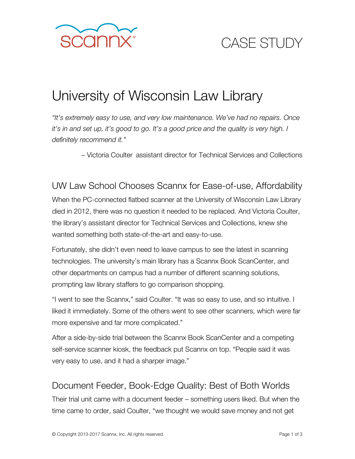

# CASE STUDY

### University of Wisconsin Law Library

*"It's extremely easy to use, and very low maintenance. We've had no repairs. Once it's in and set up, it's good to go. It's a good price and the quality is very high. I definitely recommend it."* 

– Victoria Coulter assistant director for Technical Services and Collections

UW Law School Chooses Scannx for Ease-of-use, Affordability When the PC-connected flatbed scanner at the University of Wisconsin Law Library died in 2012, there was no question it needed to be replaced. And Victoria Coulter, the library's assistant director for Technical Services and Collections, knew she wanted something both state-of-the-art and easy-to-use.

Fortunately, she didn't even need to leave campus to see the latest in scanning technologies. The university's main library has a Scannx Book ScanCenter, and other departments on campus had a number of different scanning solutions, prompting law library staffers to go comparison shopping.

"I went to see the Scannx," said Coulter. "It was so easy to use, and so intuitive. I liked it immediately. Some of the others went to see other scanners, which were far more expensive and far more complicated."

After a side-by-side trial between the Scannx Book ScanCenter and a competing self-service scanner kiosk, the feedback put Scannx on top. "People said it was very easy to use, and it had a sharper image."

#### Document Feeder, Book-Edge Quality: Best of Both Worlds

Their trial unit came with a document feeder – something users liked. But when the time came to order, said Coulter, "we thought we would save money and not get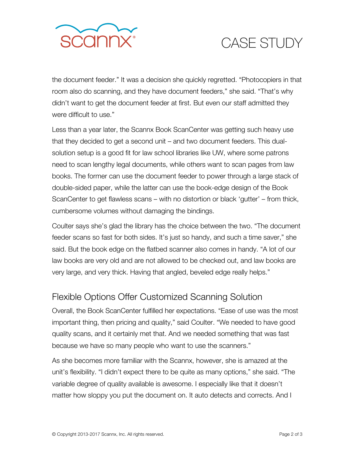

## CASE STUDY

the document feeder." It was a decision she quickly regretted. "Photocopiers in that room also do scanning, and they have document feeders," she said. "That's why didn't want to get the document feeder at first. But even our staff admitted they were difficult to use."

Less than a year later, the Scannx Book ScanCenter was getting such heavy use that they decided to get a second unit – and two document feeders. This dualsolution setup is a good fit for law school libraries like UW, where some patrons need to scan lengthy legal documents, while others want to scan pages from law books. The former can use the document feeder to power through a large stack of double-sided paper, while the latter can use the book-edge design of the Book ScanCenter to get flawless scans – with no distortion or black 'gutter' – from thick, cumbersome volumes without damaging the bindings.

Coulter says she's glad the library has the choice between the two. "The document feeder scans so fast for both sides. It's just so handy, and such a time saver," she said. But the book edge on the flatbed scanner also comes in handy. "A lot of our law books are very old and are not allowed to be checked out, and law books are very large, and very thick. Having that angled, beveled edge really helps."

#### Flexible Options Offer Customized Scanning Solution

Overall, the Book ScanCenter fulfilled her expectations. "Ease of use was the most important thing, then pricing and quality," said Coulter. "We needed to have good quality scans, and it certainly met that. And we needed something that was fast because we have so many people who want to use the scanners."

As she becomes more familiar with the Scannx, however, she is amazed at the unit's flexibility. "I didn't expect there to be quite as many options," she said. "The variable degree of quality available is awesome. I especially like that it doesn't matter how sloppy you put the document on. It auto detects and corrects. And I